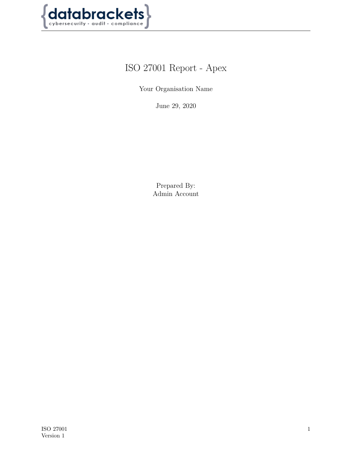

# ISO 27001 Report - Apex

Your Organisation Name

June 29, 2020

Prepared By: Admin Account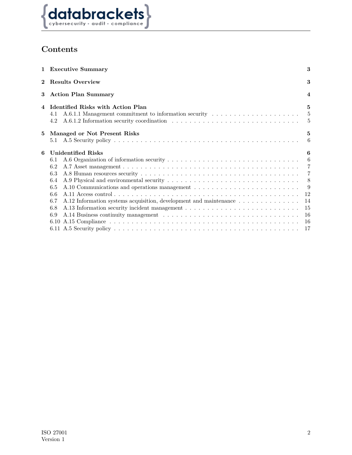

## **Contents**

|                       | 1 Executive Summary                                                                                                                                    | 3                                                                                                                                                                                                                                                                                                                                                                                   |  |  |  |  |  |  |  |  |
|-----------------------|--------------------------------------------------------------------------------------------------------------------------------------------------------|-------------------------------------------------------------------------------------------------------------------------------------------------------------------------------------------------------------------------------------------------------------------------------------------------------------------------------------------------------------------------------------|--|--|--|--|--|--|--|--|
|                       | 2 Results Overview                                                                                                                                     |                                                                                                                                                                                                                                                                                                                                                                                     |  |  |  |  |  |  |  |  |
| 3 Action Plan Summary |                                                                                                                                                        |                                                                                                                                                                                                                                                                                                                                                                                     |  |  |  |  |  |  |  |  |
|                       | 4 Identified Risks with Action Plan<br>A.6.1.1 Management commitment to information security $\dots \dots \dots \dots \dots \dots \dots$<br>4.1<br>4.2 | $5^{\circ}$<br>$5\phantom{.00}$<br>$\frac{5}{2}$                                                                                                                                                                                                                                                                                                                                    |  |  |  |  |  |  |  |  |
| 5.                    | Managed or Not Present Risks                                                                                                                           | 5                                                                                                                                                                                                                                                                                                                                                                                   |  |  |  |  |  |  |  |  |
|                       | 5.1                                                                                                                                                    | 6                                                                                                                                                                                                                                                                                                                                                                                   |  |  |  |  |  |  |  |  |
| 6                     | <b>Unidentified Risks</b>                                                                                                                              | 6                                                                                                                                                                                                                                                                                                                                                                                   |  |  |  |  |  |  |  |  |
|                       | 6.1                                                                                                                                                    | $6\phantom{.0000}\phantom{.0000}\phantom{.0000}\phantom{.0000}\phantom{.0000}\phantom{.0000}\phantom{.0000}\phantom{.0000}\phantom{.0000}\phantom{.0000}\phantom{.0000}\phantom{.0000}\phantom{.0000}\phantom{.0000}\phantom{.0000}\phantom{.0000}\phantom{.0000}\phantom{.0000}\phantom{.0000}\phantom{.0000}\phantom{.0000}\phantom{.0000}\phantom{.0000}\phantom{.0000}\phantom$ |  |  |  |  |  |  |  |  |
|                       | 6.2                                                                                                                                                    |                                                                                                                                                                                                                                                                                                                                                                                     |  |  |  |  |  |  |  |  |
|                       | 6.3                                                                                                                                                    |                                                                                                                                                                                                                                                                                                                                                                                     |  |  |  |  |  |  |  |  |
|                       | 6.4                                                                                                                                                    |                                                                                                                                                                                                                                                                                                                                                                                     |  |  |  |  |  |  |  |  |
|                       | 6.5                                                                                                                                                    | -9                                                                                                                                                                                                                                                                                                                                                                                  |  |  |  |  |  |  |  |  |
|                       | 6.6                                                                                                                                                    | 12                                                                                                                                                                                                                                                                                                                                                                                  |  |  |  |  |  |  |  |  |
|                       | 6.7<br>A.12 Information systems acquisition, development and maintenance $\dots \dots \dots \dots$                                                     | 14                                                                                                                                                                                                                                                                                                                                                                                  |  |  |  |  |  |  |  |  |
|                       | 6.8                                                                                                                                                    | 15                                                                                                                                                                                                                                                                                                                                                                                  |  |  |  |  |  |  |  |  |
|                       | 6.9                                                                                                                                                    | 16                                                                                                                                                                                                                                                                                                                                                                                  |  |  |  |  |  |  |  |  |
|                       |                                                                                                                                                        | 16                                                                                                                                                                                                                                                                                                                                                                                  |  |  |  |  |  |  |  |  |
|                       |                                                                                                                                                        | 17                                                                                                                                                                                                                                                                                                                                                                                  |  |  |  |  |  |  |  |  |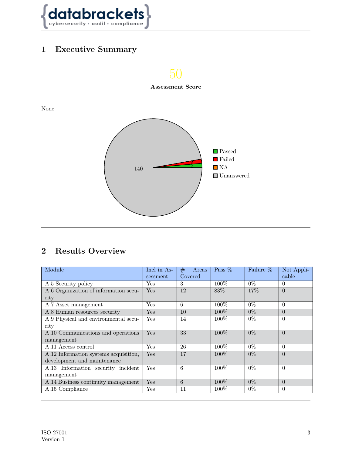

## <span id="page-2-0"></span>**1 Executive Summary**



## <span id="page-2-1"></span>**2 Results Overview**

<span id="page-2-2"></span>

| Module                                | Incl in As- | Areas<br># | Pass %  | Failure % | Not Appli- |
|---------------------------------------|-------------|------------|---------|-----------|------------|
|                                       | sessment    | Covered    |         |           | cable      |
| A.5 Security policy                   | Yes         | 3          | $100\%$ | $0\%$     | $\Omega$   |
| A.6 Organization of information secu- | Yes         | 12         | 83\%    | 17\%      | $\Omega$   |
| rity                                  |             |            |         |           |            |
| A.7 Asset management                  | Yes         | 6          | $100\%$ | $0\%$     | $\Omega$   |
| A.8 Human resources security          | Yes         | 10         | $100\%$ | $0\%$     | $\Omega$   |
| A.9 Physical and environmental secu-  | Yes         | 14         | $100\%$ | $0\%$     | $\Omega$   |
| rity                                  |             |            |         |           |            |
| A.10 Communications and operations    | Yes         | 33         | $100\%$ | $0\%$     | $\Omega$   |
| management                            |             |            |         |           |            |
| A.11 Access control                   | Yes         | 26         | $100\%$ | $0\%$     | $\Omega$   |
| A.12 Information systems acquisition, | Yes         | 17         | $100\%$ | $0\%$     | $\Omega$   |
| development and maintenance           |             |            |         |           |            |
| A.13 Information security incident    | Yes         | 6          | 100\%   | $0\%$     | $\Omega$   |
| management                            |             |            |         |           |            |
| A.14 Business continuity management   | Yes         | 6          | $100\%$ | $0\%$     | $\Omega$   |
| A.15 Compliance                       | Yes         | 11         | $100\%$ | $0\%$     | $\Omega$   |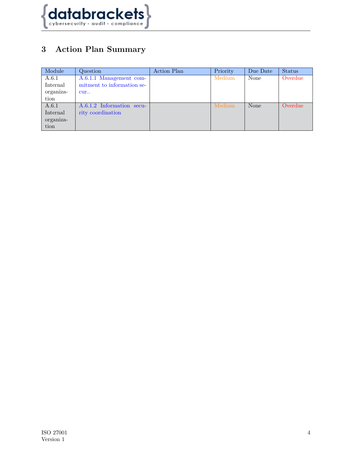

## **3 Action Plan Summary**

| Module    | Question                   | Action Plan | Priority | Due Date | <b>Status</b> |
|-----------|----------------------------|-------------|----------|----------|---------------|
| A.6.1     | A.6.1.1 Management com-    |             | Medium   | None     | Overdue       |
| Internal  | mitment to information se- |             |          |          |               |
| organiza- | cur                        |             |          |          |               |
| tion      |                            |             |          |          |               |
| A.6.1     | A.6.1.2 Information secu-  |             | Medium   | None     | Overdue       |
| Internal  | rity coordination          |             |          |          |               |
| organiza- |                            |             |          |          |               |
| tion      |                            |             |          |          |               |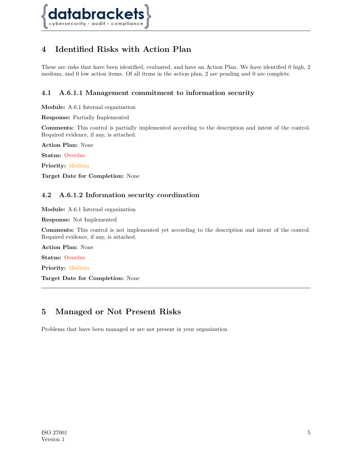

## <span id="page-4-0"></span>**4 Identified Risks with Action Plan**

These are risks that have been identified, evaluated, and have an Action Plan. We have identified 0 high, 2 medium, and 0 low action items. Of all items in the action plan, 2 are pending and 0 are complete.

#### <span id="page-4-1"></span>**4.1 A.6.1.1 Management commitment to information security**

**Module:** A.6.1 Internal organization

**Response:** Partially Implemented

**Comments:** This control is partially implemented according to the description and intent of the control. Required evidence, if any, is attached.

**Action Plan:** None

**Status:** Overdue

**Priority:** Medium

<span id="page-4-2"></span>**Target Date for Completion:** None

#### **4.2 A.6.1.2 Information security coordination**

**Module:** A.6.1 Internal organization

**Response:** Not Implemented

**Comments:** This control is not implemented yet according to the description and intent of the control. Required evidence, if any, is attached.

**Action Plan:** None

**Status:** Overdue

**Priority:** Medium

**Target Date for Completion:** None

### <span id="page-4-3"></span>**5 Managed or Not Present Risks**

<span id="page-4-4"></span>Problems that have been managed or are not present in your organization.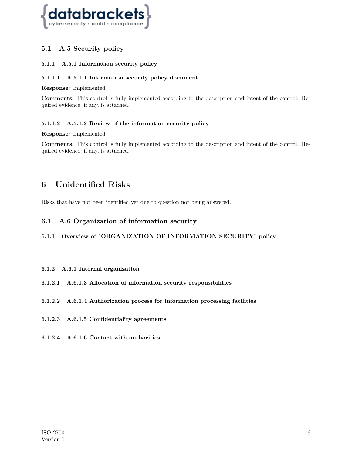

#### **5.1 A.5 Security policy**

#### **5.1.1 A.5.1 Information security policy**

#### **5.1.1.1 A.5.1.1 Information security policy document**

#### **Response:** Implemented

**Comments:** This control is fully implemented according to the description and intent of the control. Required evidence, if any, is attached.

#### **5.1.1.2 A.5.1.2 Review of the information security policy**

#### **Response:** Implemented

**Comments:** This control is fully implemented according to the description and intent of the control. Required evidence, if any, is attached.

### <span id="page-5-0"></span>**6 Unidentified Risks**

<span id="page-5-1"></span>Risks that have not been identified yet due to question not being answered.

#### **6.1 A.6 Organization of information security**

#### **6.1.1 Overview of "ORGANIZATION OF INFORMATION SECURITY" policy**

#### **6.1.2 A.6.1 Internal organization**

- **6.1.2.1 A.6.1.3 Allocation of information security responsibilities**
- **6.1.2.2 A.6.1.4 Authorization process for information processing facilities**
- **6.1.2.3 A.6.1.5 Confidentiality agreements**
- **6.1.2.4 A.6.1.6 Contact with authorities**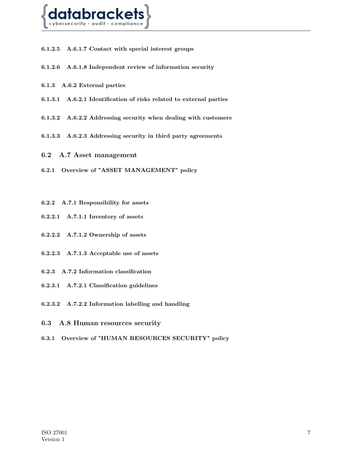

**6.1.2.5 A.6.1.7 Contact with special interest groups**

- **6.1.2.6 A.6.1.8 Independent review of information security**
- **6.1.3 A.6.2 External parties**
- **6.1.3.1 A.6.2.1 Identification of risks related to external parties**
- **6.1.3.2 A.6.2.2 Addressing security when dealing with customers**
- <span id="page-6-0"></span>**6.1.3.3 A.6.2.3 Addressing security in third party agreements**
- **6.2 A.7 Asset management**
- **6.2.1 Overview of "ASSET MANAGEMENT" policy**
- **6.2.2 A.7.1 Responsibility for assets**
- **6.2.2.1 A.7.1.1 Inventory of assets**
- **6.2.2.2 A.7.1.2 Ownership of assets**
- **6.2.2.3 A.7.1.3 Acceptable use of assets**
- **6.2.3 A.7.2 Information classification**
- **6.2.3.1 A.7.2.1 Classification guidelines**
- <span id="page-6-1"></span>**6.2.3.2 A.7.2.2 Information labelling and handling**
- **6.3 A.8 Human resources security**
- **6.3.1 Overview of "HUMAN RESOURCES SECURITY" policy**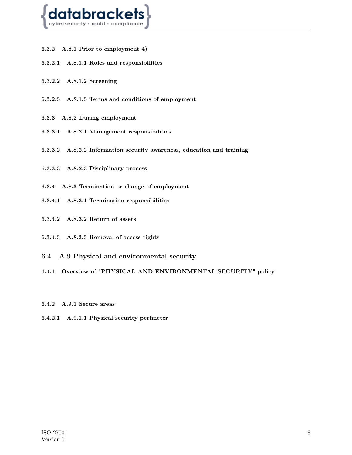

- **6.3.2 A.8.1 Prior to employment 4)**
- **6.3.2.1 A.8.1.1 Roles and responsibilities**
- **6.3.2.2 A.8.1.2 Screening**
- **6.3.2.3 A.8.1.3 Terms and conditions of employment**
- **6.3.3 A.8.2 During employment**
- **6.3.3.1 A.8.2.1 Management responsibilities**
- **6.3.3.2 A.8.2.2 Information security awareness, education and training**
- **6.3.3.3 A.8.2.3 Disciplinary process**
- **6.3.4 A.8.3 Termination or change of employment**
- **6.3.4.1 A.8.3.1 Termination responsibilities**
- **6.3.4.2 A.8.3.2 Return of assets**
- <span id="page-7-0"></span>**6.3.4.3 A.8.3.3 Removal of access rights**
- **6.4 A.9 Physical and environmental security**
- **6.4.1 Overview of "PHYSICAL AND ENVIRONMENTAL SECURITY" policy**
- **6.4.2 A.9.1 Secure areas**
- **6.4.2.1 A.9.1.1 Physical security perimeter**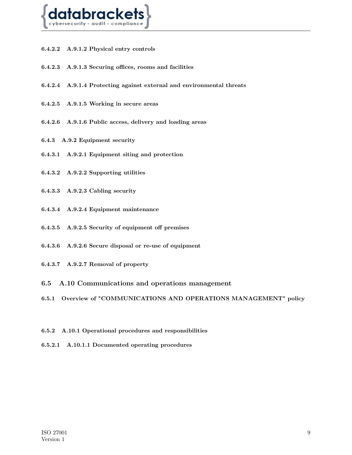

- **6.4.2.2 A.9.1.2 Physical entry controls**
- **6.4.2.3 A.9.1.3 Securing offices, rooms and facilities**
- **6.4.2.4 A.9.1.4 Protecting against external and environmental threats**
- **6.4.2.5 A.9.1.5 Working in secure areas**
- **6.4.2.6 A.9.1.6 Public access, delivery and loading areas**
- **6.4.3 A.9.2 Equipment security**
- **6.4.3.1 A.9.2.1 Equipment siting and protection**
- **6.4.3.2 A.9.2.2 Supporting utilities**
- **6.4.3.3 A.9.2.3 Cabling security**
- **6.4.3.4 A.9.2.4 Equipment maintenance**
- **6.4.3.5 A.9.2.5 Security of equipment off premises**
- **6.4.3.6 A.9.2.6 Secure disposal or re-use of equipment**
- <span id="page-8-0"></span>**6.4.3.7 A.9.2.7 Removal of property**
- **6.5 A.10 Communications and operations management**
- **6.5.1 Overview of "COMMUNICATIONS AND OPERATIONS MANAGEMENT" policy**
- **6.5.2 A.10.1 Operational procedures and responsibilities**
- **6.5.2.1 A.10.1.1 Documented operating procedures**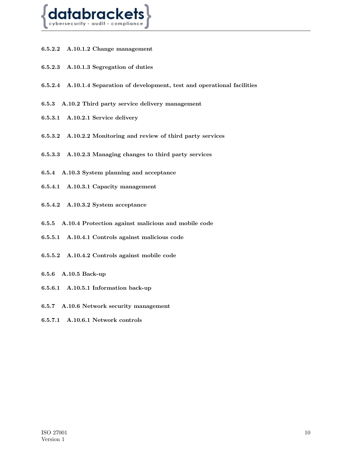

- **6.5.2.2 A.10.1.2 Change management**
- **6.5.2.3 A.10.1.3 Segregation of duties**
- **6.5.2.4 A.10.1.4 Separation of development, test and operational facilities**
- **6.5.3 A.10.2 Third party service delivery management**
- **6.5.3.1 A.10.2.1 Service delivery**
- **6.5.3.2 A.10.2.2 Monitoring and review of third party services**
- **6.5.3.3 A.10.2.3 Managing changes to third party services**
- **6.5.4 A.10.3 System planning and acceptance**
- **6.5.4.1 A.10.3.1 Capacity management**
- **6.5.4.2 A.10.3.2 System acceptance**
- **6.5.5 A.10.4 Protection against malicious and mobile code**
- **6.5.5.1 A.10.4.1 Controls against malicious code**
- **6.5.5.2 A.10.4.2 Controls against mobile code**
- **6.5.6 A.10.5 Back-up**
- **6.5.6.1 A.10.5.1 Information back-up**
- **6.5.7 A.10.6 Network security management**
- **6.5.7.1 A.10.6.1 Network controls**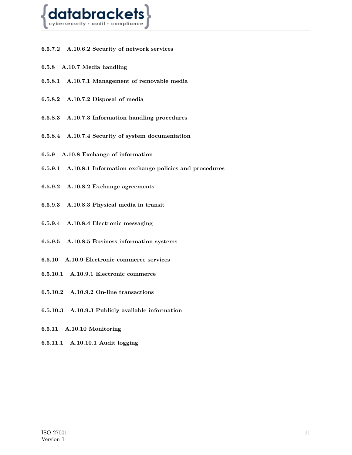

- **6.5.7.2 A.10.6.2 Security of network services**
- **6.5.8 A.10.7 Media handling**
- **6.5.8.1 A.10.7.1 Management of removable media**
- **6.5.8.2 A.10.7.2 Disposal of media**
- **6.5.8.3 A.10.7.3 Information handling procedures**
- **6.5.8.4 A.10.7.4 Security of system documentation**
- **6.5.9 A.10.8 Exchange of information**
- **6.5.9.1 A.10.8.1 Information exchange policies and procedures**
- **6.5.9.2 A.10.8.2 Exchange agreements**
- **6.5.9.3 A.10.8.3 Physical media in transit**
- **6.5.9.4 A.10.8.4 Electronic messaging**
- **6.5.9.5 A.10.8.5 Business information systems**
- **6.5.10 A.10.9 Electronic commerce services**
- **6.5.10.1 A.10.9.1 Electronic commerce**
- **6.5.10.2 A.10.9.2 On-line transactions**
- **6.5.10.3 A.10.9.3 Publicly available information**
- **6.5.11 A.10.10 Monitoring**
- **6.5.11.1 A.10.10.1 Audit logging**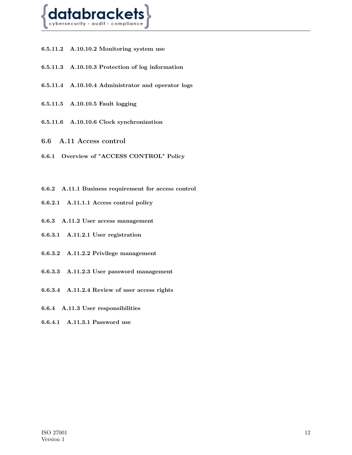

- **6.5.11.2 A.10.10.2 Monitoring system use**
- **6.5.11.3 A.10.10.3 Protection of log information**
- **6.5.11.4 A.10.10.4 Administrator and operator logs**
- **6.5.11.5 A.10.10.5 Fault logging**
- <span id="page-11-0"></span>**6.5.11.6 A.10.10.6 Clock synchronization**
- **6.6 A.11 Access control**
- **6.6.1 Overview of "ACCESS CONTROL" Policy**
- **6.6.2 A.11.1 Business requirement for access control**
- **6.6.2.1 A.11.1.1 Access control policy**
- **6.6.3 A.11.2 User access management**
- **6.6.3.1 A.11.2.1 User registration**
- **6.6.3.2 A.11.2.2 Privilege management**
- **6.6.3.3 A.11.2.3 User password management**
- **6.6.3.4 A.11.2.4 Review of user access rights**
- **6.6.4 A.11.3 User responsibilities**
- **6.6.4.1 A.11.3.1 Password use**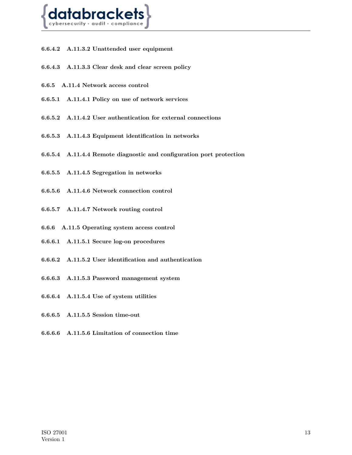

- **6.6.4.2 A.11.3.2 Unattended user equipment**
- **6.6.4.3 A.11.3.3 Clear desk and clear screen policy**
- **6.6.5 A.11.4 Network access control**
- **6.6.5.1 A.11.4.1 Policy on use of network services**
- **6.6.5.2 A.11.4.2 User authentication for external connections**
- **6.6.5.3 A.11.4.3 Equipment identification in networks**
- **6.6.5.4 A.11.4.4 Remote diagnostic and configuration port protection**
- **6.6.5.5 A.11.4.5 Segregation in networks**
- **6.6.5.6 A.11.4.6 Network connection control**
- **6.6.5.7 A.11.4.7 Network routing control**
- **6.6.6 A.11.5 Operating system access control**
- **6.6.6.1 A.11.5.1 Secure log-on procedures**
- **6.6.6.2 A.11.5.2 User identification and authentication**
- **6.6.6.3 A.11.5.3 Password management system**
- **6.6.6.4 A.11.5.4 Use of system utilities**
- **6.6.6.5 A.11.5.5 Session time-out**
- **6.6.6.6 A.11.5.6 Limitation of connection time**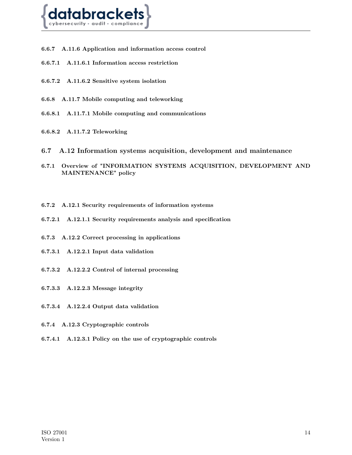

- **6.6.7 A.11.6 Application and information access control**
- **6.6.7.1 A.11.6.1 Information access restriction**
- **6.6.7.2 A.11.6.2 Sensitive system isolation**
- **6.6.8 A.11.7 Mobile computing and teleworking**
- **6.6.8.1 A.11.7.1 Mobile computing and communications**
- <span id="page-13-0"></span>**6.6.8.2 A.11.7.2 Teleworking**
- **6.7 A.12 Information systems acquisition, development and maintenance**
- **6.7.1 Overview of "INFORMATION SYSTEMS ACQUISITION, DEVELOPMENT AND MAINTENANCE" policy**
- **6.7.2 A.12.1 Security requirements of information systems**
- **6.7.2.1 A.12.1.1 Security requirements analysis and specification**
- **6.7.3 A.12.2 Correct processing in applications**
- **6.7.3.1 A.12.2.1 Input data validation**
- **6.7.3.2 A.12.2.2 Control of internal processing**
- **6.7.3.3 A.12.2.3 Message integrity**
- **6.7.3.4 A.12.2.4 Output data validation**
- **6.7.4 A.12.3 Cryptographic controls**
- **6.7.4.1 A.12.3.1 Policy on the use of cryptographic controls**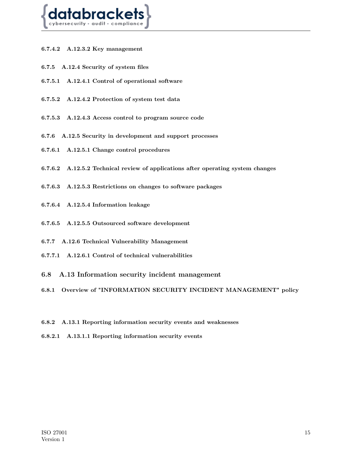

- **6.7.4.2 A.12.3.2 Key management**
- **6.7.5 A.12.4 Security of system files**
- **6.7.5.1 A.12.4.1 Control of operational software**
- **6.7.5.2 A.12.4.2 Protection of system test data**
- **6.7.5.3 A.12.4.3 Access control to program source code**
- **6.7.6 A.12.5 Security in development and support processes**
- **6.7.6.1 A.12.5.1 Change control procedures**
- **6.7.6.2 A.12.5.2 Technical review of applications after operating system changes**
- **6.7.6.3 A.12.5.3 Restrictions on changes to software packages**
- **6.7.6.4 A.12.5.4 Information leakage**
- **6.7.6.5 A.12.5.5 Outsourced software development**
- **6.7.7 A.12.6 Technical Vulnerability Management**
- <span id="page-14-0"></span>**6.7.7.1 A.12.6.1 Control of technical vulnerabilities**
- **6.8 A.13 Information security incident management**
- **6.8.1 Overview of "INFORMATION SECURITY INCIDENT MANAGEMENT" policy**
- **6.8.2 A.13.1 Reporting information security events and weaknesses**
- **6.8.2.1 A.13.1.1 Reporting information security events**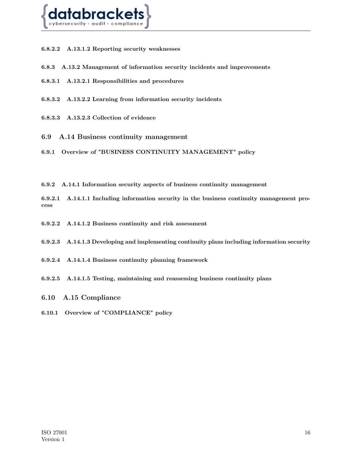

- **6.8.2.2 A.13.1.2 Reporting security weaknesses**
- **6.8.3 A.13.2 Management of information security incidents and improvements**
- **6.8.3.1 A.13.2.1 Responsibilities and procedures**
- **6.8.3.2 A.13.2.2 Learning from information security incidents**
- <span id="page-15-0"></span>**6.8.3.3 A.13.2.3 Collection of evidence**
- **6.9 A.14 Business continuity management**

**6.9.1 Overview of "BUSINESS CONTINUITY MANAGEMENT" policy**

**6.9.2 A.14.1 Information security aspects of business continuity management**

**6.9.2.1 A.14.1.1 Including information security in the business continuity management process**

- **6.9.2.2 A.14.1.2 Business continuity and risk assessment**
- **6.9.2.3 A.14.1.3 Developing and implementing continuity plans including information security**
- **6.9.2.4 A.14.1.4 Business continuity planning framework**
- <span id="page-15-1"></span>**6.9.2.5 A.14.1.5 Testing, maintaining and reassessing business continuity plans**
- **6.10 A.15 Compliance**
- **6.10.1 Overview of "COMPLIANCE" policy**